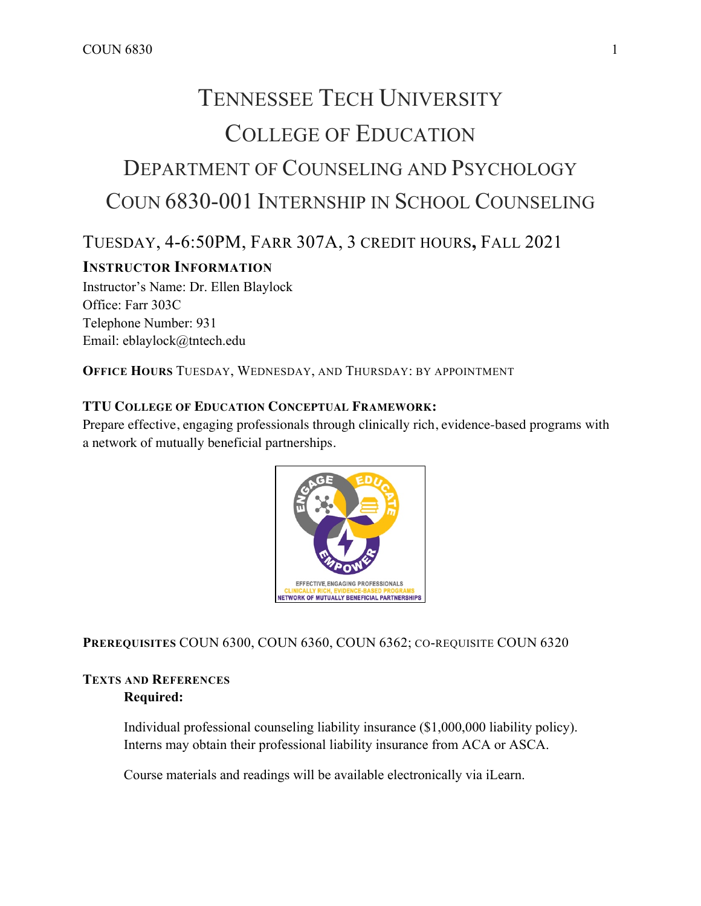# TENNESSEE TECH UNIVERSITY COLLEGE OF EDUCATION DEPARTMENT OF COUNSELING AND PSYCHOLOGY COUN 6830-001 INTERNSHIP IN SCHOOL COUNSELING

## TUESDAY, 4-6:50PM, FARR 307A, 3 CREDIT HOURS**,** FALL 2021

## **INSTRUCTOR INFORMATION**

Instructor's Name: Dr. Ellen Blaylock Office: Farr 303C Telephone Number: 931 Email: eblaylock@tntech.edu

**OFFICE HOURS** TUESDAY, WEDNESDAY, AND THURSDAY: BY APPOINTMENT

### **TTU COLLEGE OF EDUCATION CONCEPTUAL FRAMEWORK:**

Prepare effective, engaging professionals through clinically rich, evidence-based programs with a network of mutually beneficial partnerships.



**PREREQUISITES** COUN 6300, COUN 6360, COUN 6362; CO-REQUISITE COUN 6320

## **TEXTS AND REFERENCES Required:**

Individual professional counseling liability insurance (\$1,000,000 liability policy). Interns may obtain their professional liability insurance from ACA or ASCA.

Course materials and readings will be available electronically via iLearn.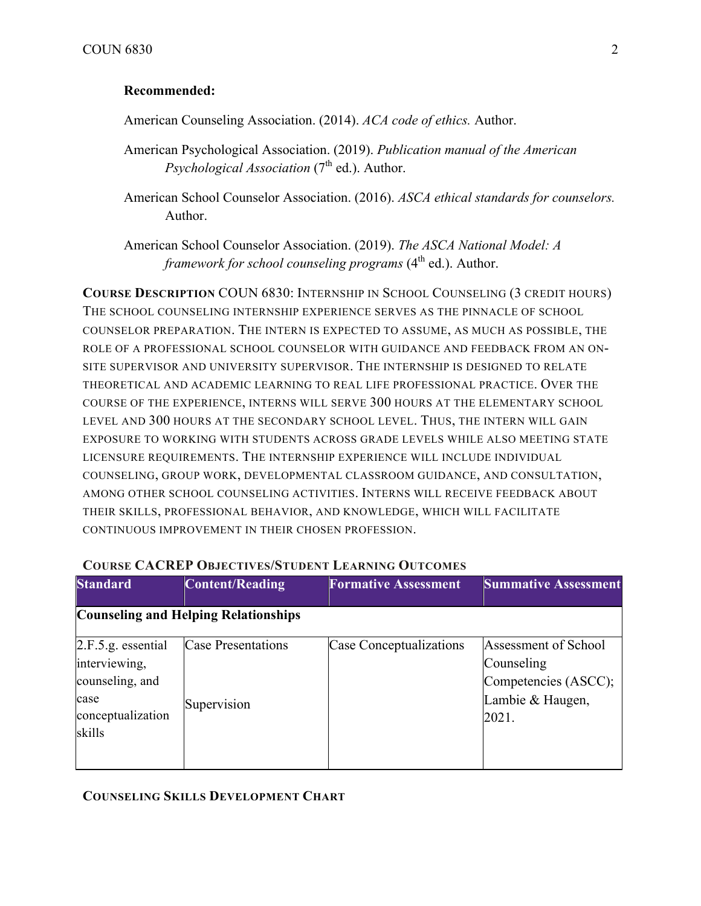## **Recommended:**

American Counseling Association. (2014). *ACA code of ethics.* Author.

American Psychological Association. (2019). *Publication manual of the American Psychological Association* (7<sup>th</sup> ed.). Author.

American School Counselor Association. (2016). *ASCA ethical standards for counselors.*  Author.

American School Counselor Association. (2019). *The ASCA National Model: A framework for school counseling programs* (4<sup>th</sup> ed.). Author.

**COURSE DESCRIPTION** COUN 6830: INTERNSHIP IN SCHOOL COUNSELING (3 CREDIT HOURS) THE SCHOOL COUNSELING INTERNSHIP EXPERIENCE SERVES AS THE PINNACLE OF SCHOOL COUNSELOR PREPARATION. THE INTERN IS EXPECTED TO ASSUME, AS MUCH AS POSSIBLE, THE ROLE OF A PROFESSIONAL SCHOOL COUNSELOR WITH GUIDANCE AND FEEDBACK FROM AN ON-SITE SUPERVISOR AND UNIVERSITY SUPERVISOR. THE INTERNSHIP IS DESIGNED TO RELATE THEORETICAL AND ACADEMIC LEARNING TO REAL LIFE PROFESSIONAL PRACTICE. OVER THE COURSE OF THE EXPERIENCE, INTERNS WILL SERVE 300 HOURS AT THE ELEMENTARY SCHOOL LEVEL AND 300 HOURS AT THE SECONDARY SCHOOL LEVEL. THUS, THE INTERN WILL GAIN EXPOSURE TO WORKING WITH STUDENTS ACROSS GRADE LEVELS WHILE ALSO MEETING STATE LICENSURE REQUIREMENTS. THE INTERNSHIP EXPERIENCE WILL INCLUDE INDIVIDUAL COUNSELING, GROUP WORK, DEVELOPMENTAL CLASSROOM GUIDANCE, AND CONSULTATION, AMONG OTHER SCHOOL COUNSELING ACTIVITIES. INTERNS WILL RECEIVE FEEDBACK ABOUT THEIR SKILLS, PROFESSIONAL BEHAVIOR, AND KNOWLEDGE, WHICH WILL FACILITATE CONTINUOUS IMPROVEMENT IN THEIR CHOSEN PROFESSION.

| <b>Standard</b>                                                                               | <b>Content/Reading</b>                      | <b>Formative Assessment</b> | <b>Summative Assessment</b>                                                             |
|-----------------------------------------------------------------------------------------------|---------------------------------------------|-----------------------------|-----------------------------------------------------------------------------------------|
|                                                                                               | <b>Counseling and Helping Relationships</b> |                             |                                                                                         |
| 2.F.5.g. essential<br>interviewing,<br>counseling, and<br>case<br>conceptualization<br>skills | Case Presentations<br>Supervision           | Case Conceptualizations     | Assessment of School<br>Counseling<br>Competencies (ASCC);<br>Lambie & Haugen,<br>2021. |

## **COURSE CACREP OBJECTIVES/STUDENT LEARNING OUTCOMES**

## **COUNSELING SKILLS DEVELOPMENT CHART**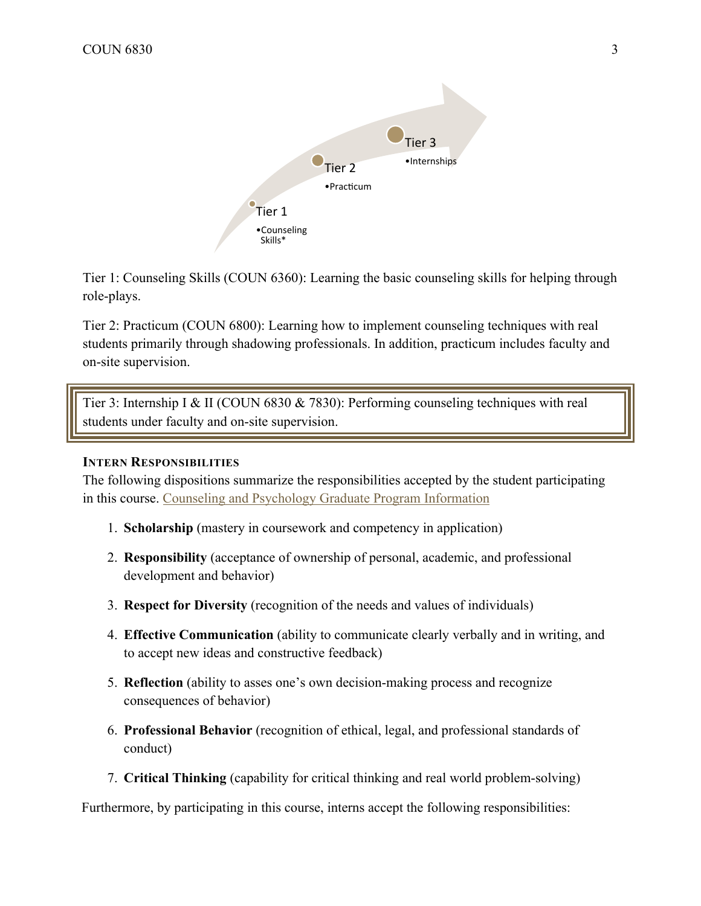

Tier 1: Counseling Skills (COUN 6360): Learning the basic counseling skills for helping through role-plays.

Tier 2: Practicum (COUN 6800): Learning how to implement counseling techniques with real students primarily through shadowing professionals. In addition, practicum includes faculty and on-site supervision.

Tier 3: Internship I & II (COUN 6830 & 7830): Performing counseling techniques with real students under faculty and on-site supervision.

## **INTERN RESPONSIBILITIES**

The following dispositions summarize the responsibilities accepted by the student participating in this course. Counseling and Psychology Graduate Program Information

- 1. **Scholarship** (mastery in coursework and competency in application)
- 2. **Responsibility** (acceptance of ownership of personal, academic, and professional development and behavior)
- 3. **Respect for Diversity** (recognition of the needs and values of individuals)
- 4. **Effective Communication** (ability to communicate clearly verbally and in writing, and to accept new ideas and constructive feedback)
- 5. **Reflection** (ability to asses one's own decision-making process and recognize consequences of behavior)
- 6. **Professional Behavior** (recognition of ethical, legal, and professional standards of conduct)
- 7. **Critical Thinking** (capability for critical thinking and real world problem-solving)

Furthermore, by participating in this course, interns accept the following responsibilities: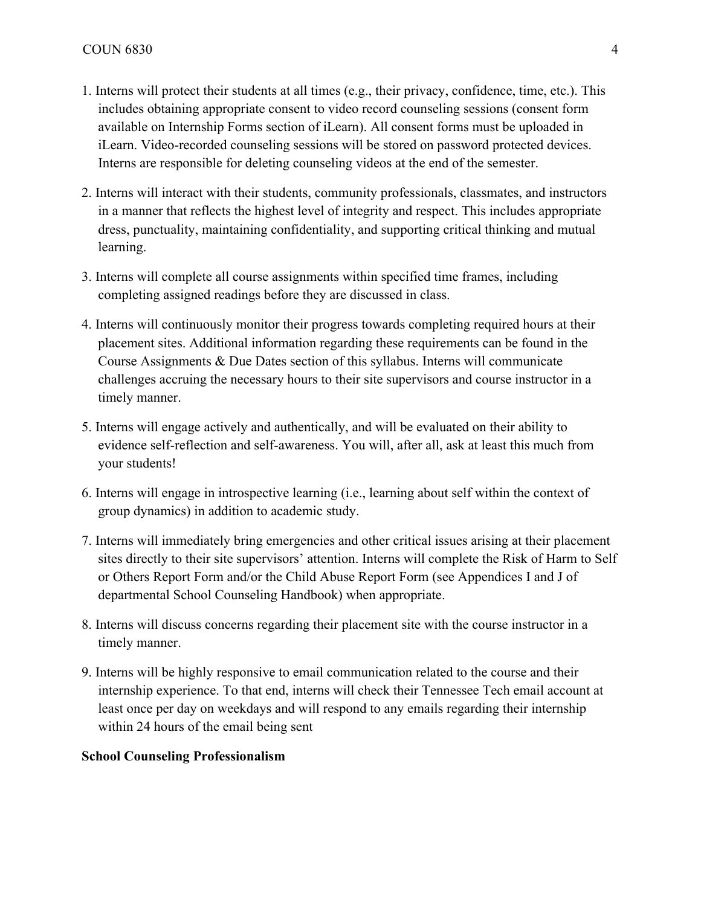- 1. Interns will protect their students at all times (e.g., their privacy, confidence, time, etc.). This includes obtaining appropriate consent to video record counseling sessions (consent form available on Internship Forms section of iLearn). All consent forms must be uploaded in iLearn. Video-recorded counseling sessions will be stored on password protected devices. Interns are responsible for deleting counseling videos at the end of the semester.
- 2. Interns will interact with their students, community professionals, classmates, and instructors in a manner that reflects the highest level of integrity and respect. This includes appropriate dress, punctuality, maintaining confidentiality, and supporting critical thinking and mutual learning.
- 3. Interns will complete all course assignments within specified time frames, including completing assigned readings before they are discussed in class.
- 4. Interns will continuously monitor their progress towards completing required hours at their placement sites. Additional information regarding these requirements can be found in the Course Assignments & Due Dates section of this syllabus. Interns will communicate challenges accruing the necessary hours to their site supervisors and course instructor in a timely manner.
- 5. Interns will engage actively and authentically, and will be evaluated on their ability to evidence self-reflection and self-awareness. You will, after all, ask at least this much from your students!
- 6. Interns will engage in introspective learning (i.e., learning about self within the context of group dynamics) in addition to academic study.
- 7. Interns will immediately bring emergencies and other critical issues arising at their placement sites directly to their site supervisors' attention. Interns will complete the Risk of Harm to Self or Others Report Form and/or the Child Abuse Report Form (see Appendices I and J of departmental School Counseling Handbook) when appropriate.
- 8. Interns will discuss concerns regarding their placement site with the course instructor in a timely manner.
- 9. Interns will be highly responsive to email communication related to the course and their internship experience. To that end, interns will check their Tennessee Tech email account at least once per day on weekdays and will respond to any emails regarding their internship within 24 hours of the email being sent

#### **School Counseling Professionalism**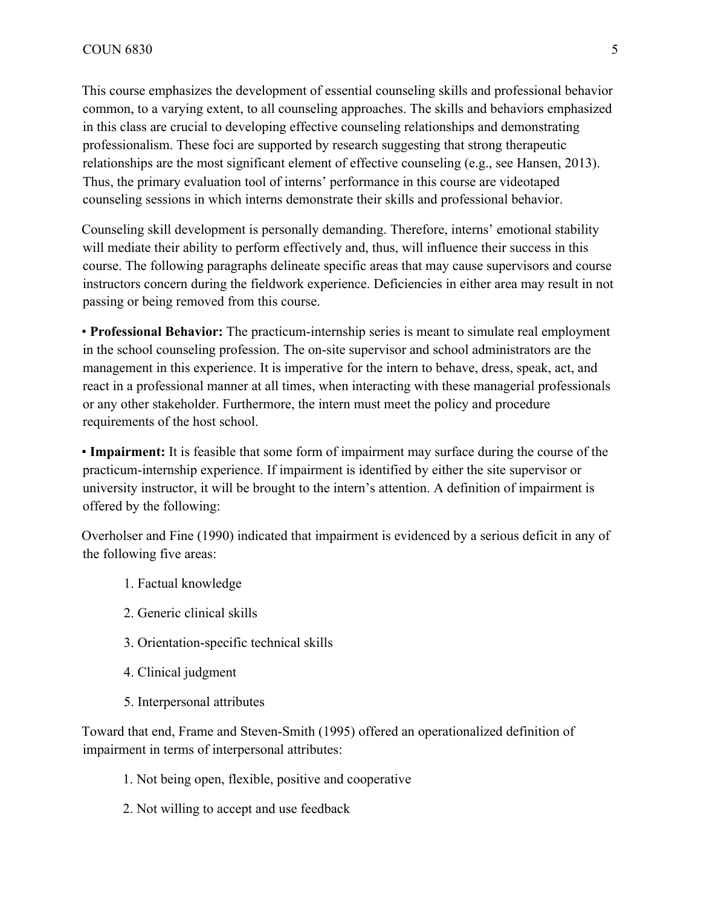This course emphasizes the development of essential counseling skills and professional behavior common, to a varying extent, to all counseling approaches. The skills and behaviors emphasized in this class are crucial to developing effective counseling relationships and demonstrating professionalism. These foci are supported by research suggesting that strong therapeutic relationships are the most significant element of effective counseling (e.g., see Hansen, 2013). Thus, the primary evaluation tool of interns' performance in this course are videotaped counseling sessions in which interns demonstrate their skills and professional behavior.

Counseling skill development is personally demanding. Therefore, interns' emotional stability will mediate their ability to perform effectively and, thus, will influence their success in this course. The following paragraphs delineate specific areas that may cause supervisors and course instructors concern during the fieldwork experience. Deficiencies in either area may result in not passing or being removed from this course.

• **Professional Behavior:** The practicum-internship series is meant to simulate real employment in the school counseling profession. The on-site supervisor and school administrators are the management in this experience. It is imperative for the intern to behave, dress, speak, act, and react in a professional manner at all times, when interacting with these managerial professionals or any other stakeholder. Furthermore, the intern must meet the policy and procedure requirements of the host school.

• **Impairment:** It is feasible that some form of impairment may surface during the course of the practicum-internship experience. If impairment is identified by either the site supervisor or university instructor, it will be brought to the intern's attention. A definition of impairment is offered by the following:

Overholser and Fine (1990) indicated that impairment is evidenced by a serious deficit in any of the following five areas:

- 1. Factual knowledge
- 2. Generic clinical skills
- 3. Orientation-specific technical skills
- 4. Clinical judgment
- 5. Interpersonal attributes

Toward that end, Frame and Steven-Smith (1995) offered an operationalized definition of impairment in terms of interpersonal attributes:

- 1. Not being open, flexible, positive and cooperative
- 2. Not willing to accept and use feedback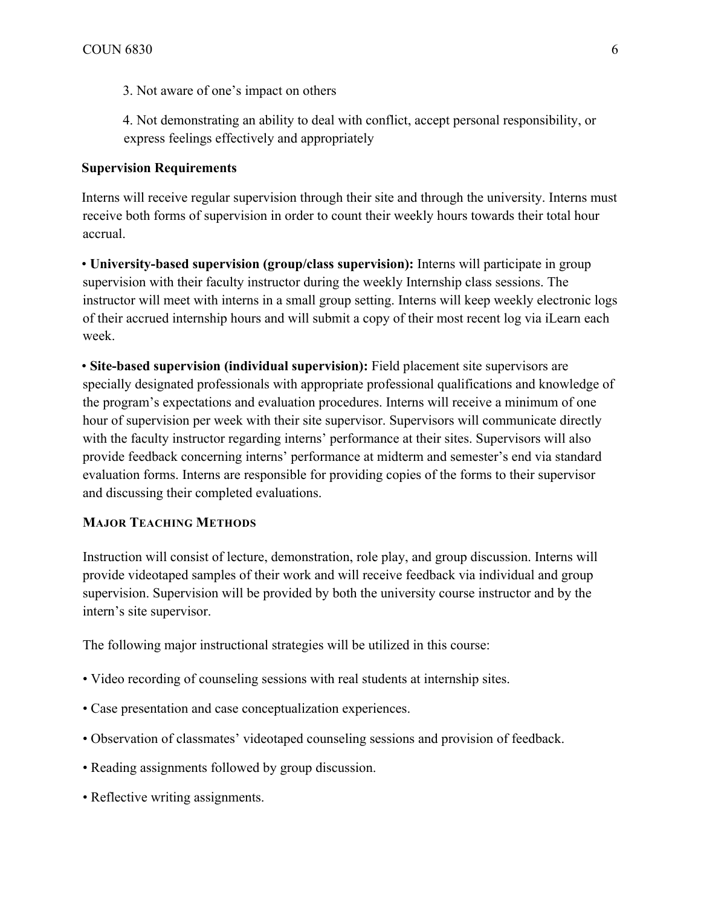3. Not aware of one's impact on others

4. Not demonstrating an ability to deal with conflict, accept personal responsibility, or express feelings effectively and appropriately

## **Supervision Requirements**

Interns will receive regular supervision through their site and through the university. Interns must receive both forms of supervision in order to count their weekly hours towards their total hour accrual.

• **University-based supervision (group/class supervision):** Interns will participate in group supervision with their faculty instructor during the weekly Internship class sessions. The instructor will meet with interns in a small group setting. Interns will keep weekly electronic logs of their accrued internship hours and will submit a copy of their most recent log via iLearn each week.

• **Site-based supervision (individual supervision):** Field placement site supervisors are specially designated professionals with appropriate professional qualifications and knowledge of the program's expectations and evaluation procedures. Interns will receive a minimum of one hour of supervision per week with their site supervisor. Supervisors will communicate directly with the faculty instructor regarding interns' performance at their sites. Supervisors will also provide feedback concerning interns' performance at midterm and semester's end via standard evaluation forms. Interns are responsible for providing copies of the forms to their supervisor and discussing their completed evaluations.

## **MAJOR TEACHING METHODS**

Instruction will consist of lecture, demonstration, role play, and group discussion. Interns will provide videotaped samples of their work and will receive feedback via individual and group supervision. Supervision will be provided by both the university course instructor and by the intern's site supervisor.

The following major instructional strategies will be utilized in this course:

- Video recording of counseling sessions with real students at internship sites.
- Case presentation and case conceptualization experiences.
- Observation of classmates' videotaped counseling sessions and provision of feedback.
- Reading assignments followed by group discussion.
- Reflective writing assignments.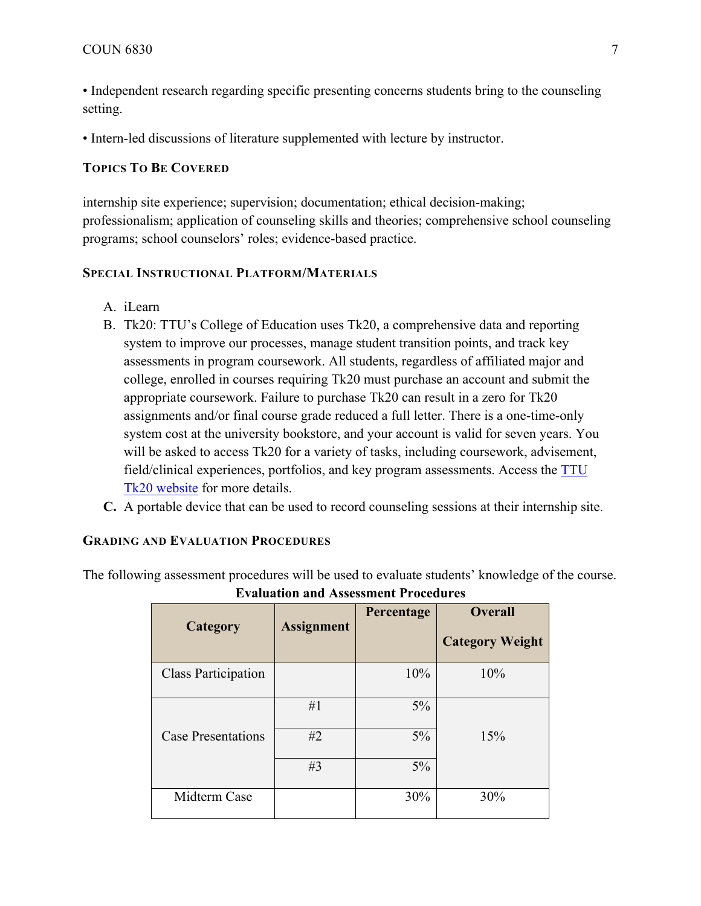• Independent research regarding specific presenting concerns students bring to the counseling setting.

• Intern-led discussions of literature supplemented with lecture by instructor.

## **TOPICS TO BE COVERED**

internship site experience; supervision; documentation; ethical decision-making; professionalism; application of counseling skills and theories; comprehensive school counseling programs; school counselors' roles; evidence-based practice.

## **SPECIAL INSTRUCTIONAL PLATFORM/MATERIALS**

- A. iLearn
- B. Tk20: TTU's College of Education uses Tk20, a comprehensive data and reporting system to improve our processes, manage student transition points, and track key assessments in program coursework. All students, regardless of affiliated major and college, enrolled in courses requiring Tk20 must purchase an account and submit the appropriate coursework. Failure to purchase Tk20 can result in a zero for Tk20 assignments and/or final course grade reduced a full letter. There is a one-time-only system cost at the university bookstore, and your account is valid for seven years. You will be asked to access Tk20 for a variety of tasks, including coursework, advisement, field/clinical experiences, portfolios, and key program assessments. Access the TTU Tk20 website for more details.
- **C.** A portable device that can be used to record counseling sessions at their internship site.

## **GRADING AND EVALUATION PROCEDURES**

The following assessment procedures will be used to evaluate students' knowledge of the course.

| Category                   | <b>Assignment</b> | Percentage | <b>Overall</b><br><b>Category Weight</b> |  |
|----------------------------|-------------------|------------|------------------------------------------|--|
| <b>Class Participation</b> |                   | 10%        | 10%                                      |  |
|                            | #1                | $5\%$      |                                          |  |
| <b>Case Presentations</b>  | #2                | $5\%$      | 15%                                      |  |
|                            | #3                | $5\%$      |                                          |  |
| Midterm Case               |                   | 30%        | 30%                                      |  |

## **Evaluation and Assessment Procedures**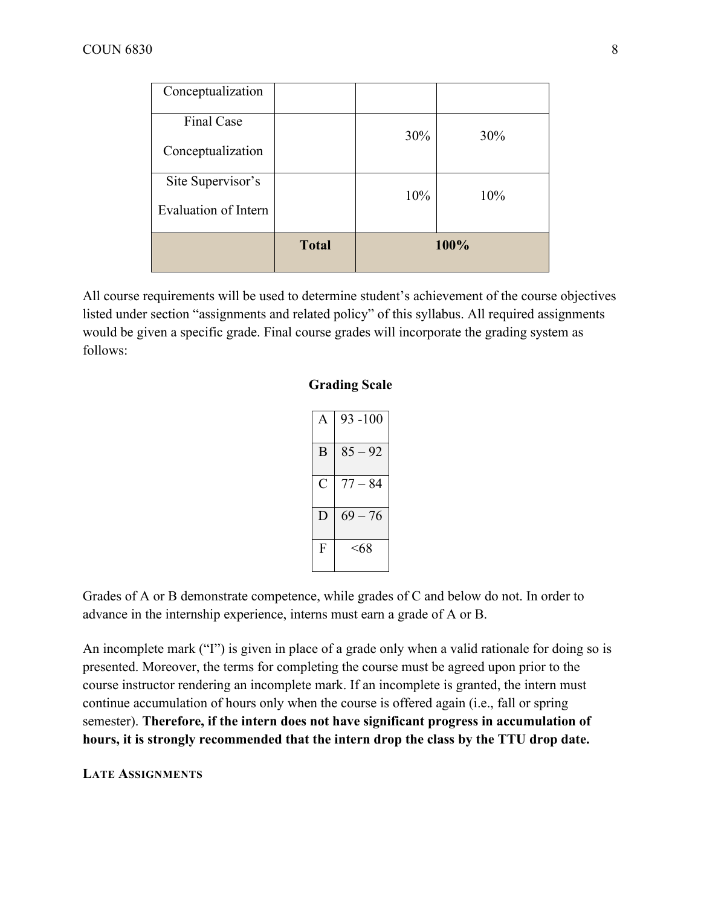|                                           | <b>Total</b> | 100% |     |
|-------------------------------------------|--------------|------|-----|
| Site Supervisor's<br>Evaluation of Intern |              | 10%  | 10% |
| Final Case<br>Conceptualization           |              | 30%  | 30% |
| Conceptualization                         |              |      |     |

All course requirements will be used to determine student's achievement of the course objectives listed under section "assignments and related policy" of this syllabus. All required assignments would be given a specific grade. Final course grades will incorporate the grading system as follows:

#### **Grading Scale**

|   | $93 - 100$ |
|---|------------|
| B | $85 - 92$  |
| C | $77 - 84$  |
|   | $69 - 76$  |
| F | <68        |

Grades of A or B demonstrate competence, while grades of C and below do not. In order to advance in the internship experience, interns must earn a grade of A or B.

An incomplete mark ("I") is given in place of a grade only when a valid rationale for doing so is presented. Moreover, the terms for completing the course must be agreed upon prior to the course instructor rendering an incomplete mark. If an incomplete is granted, the intern must continue accumulation of hours only when the course is offered again (i.e., fall or spring semester). **Therefore, if the intern does not have significant progress in accumulation of hours, it is strongly recommended that the intern drop the class by the TTU drop date.**

#### **LATE ASSIGNMENTS**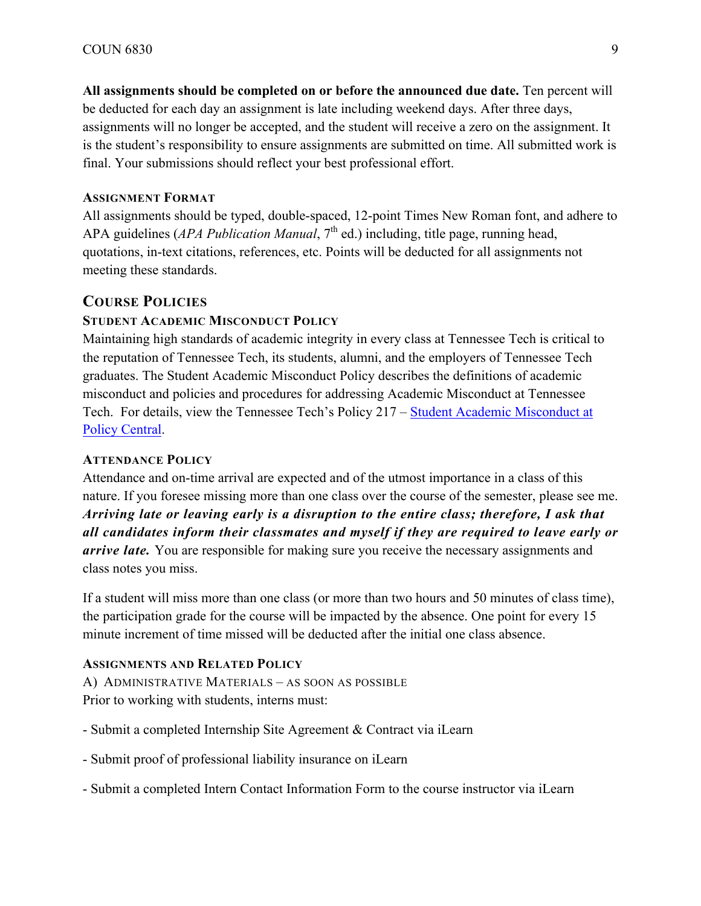**All assignments should be completed on or before the announced due date.** Ten percent will be deducted for each day an assignment is late including weekend days. After three days, assignments will no longer be accepted, and the student will receive a zero on the assignment. It is the student's responsibility to ensure assignments are submitted on time. All submitted work is final. Your submissions should reflect your best professional effort.

#### **ASSIGNMENT FORMAT**

All assignments should be typed, double-spaced, 12-point Times New Roman font, and adhere to APA guidelines (*APA Publication Manual*, 7<sup>th</sup> ed.) including, title page, running head, quotations, in-text citations, references, etc. Points will be deducted for all assignments not meeting these standards.

## **COURSE POLICIES**

#### **STUDENT ACADEMIC MISCONDUCT POLICY**

Maintaining high standards of academic integrity in every class at Tennessee Tech is critical to the reputation of Tennessee Tech, its students, alumni, and the employers of Tennessee Tech graduates. The Student Academic Misconduct Policy describes the definitions of academic misconduct and policies and procedures for addressing Academic Misconduct at Tennessee Tech. For details, view the Tennessee Tech's Policy 217 – Student Academic Misconduct at Policy Central.

#### **ATTENDANCE POLICY**

Attendance and on-time arrival are expected and of the utmost importance in a class of this nature. If you foresee missing more than one class over the course of the semester, please see me. *Arriving late or leaving early is a disruption to the entire class; therefore, I ask that all candidates inform their classmates and myself if they are required to leave early or arrive late.* You are responsible for making sure you receive the necessary assignments and class notes you miss.

If a student will miss more than one class (or more than two hours and 50 minutes of class time), the participation grade for the course will be impacted by the absence. One point for every 15 minute increment of time missed will be deducted after the initial one class absence.

#### **ASSIGNMENTS AND RELATED POLICY**

A) ADMINISTRATIVE MATERIALS - AS SOON AS POSSIBLE Prior to working with students, interns must:

- Submit a completed Internship Site Agreement & Contract via iLearn
- Submit proof of professional liability insurance on iLearn
- Submit a completed Intern Contact Information Form to the course instructor via iLearn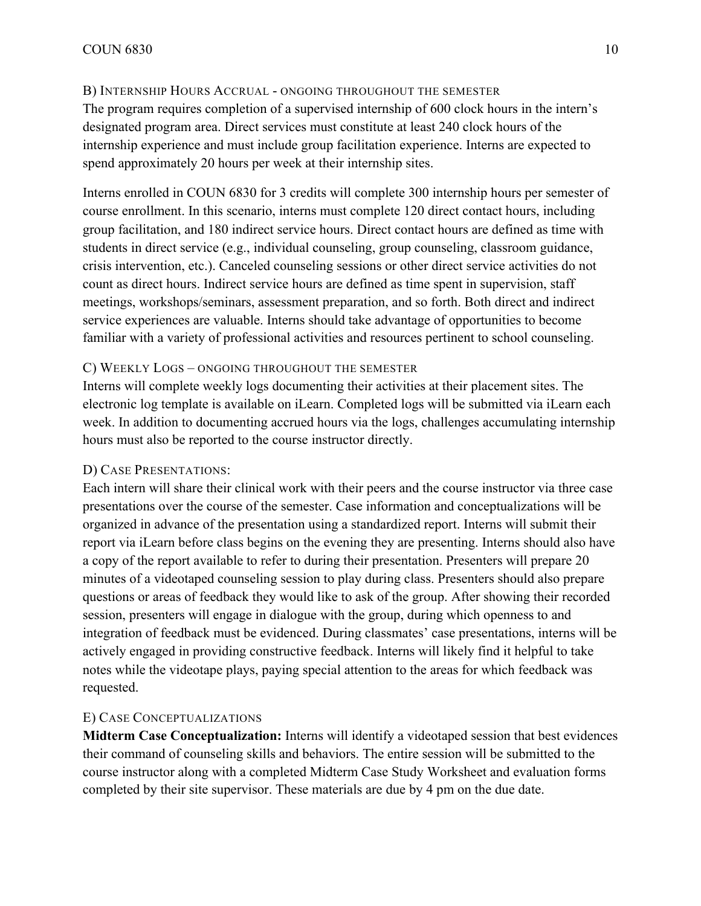## B) INTERNSHIP HOURS ACCRUAL - ONGOING THROUGHOUT THE SEMESTER

The program requires completion of a supervised internship of 600 clock hours in the intern's designated program area. Direct services must constitute at least 240 clock hours of the internship experience and must include group facilitation experience. Interns are expected to spend approximately 20 hours per week at their internship sites.

Interns enrolled in COUN 6830 for 3 credits will complete 300 internship hours per semester of course enrollment. In this scenario, interns must complete 120 direct contact hours, including group facilitation, and 180 indirect service hours. Direct contact hours are defined as time with students in direct service (e.g., individual counseling, group counseling, classroom guidance, crisis intervention, etc.). Canceled counseling sessions or other direct service activities do not count as direct hours. Indirect service hours are defined as time spent in supervision, staff meetings, workshops/seminars, assessment preparation, and so forth. Both direct and indirect service experiences are valuable. Interns should take advantage of opportunities to become familiar with a variety of professional activities and resources pertinent to school counseling.

## C) WEEKLY LOGS – ONGOING THROUGHOUT THE SEMESTER

Interns will complete weekly logs documenting their activities at their placement sites. The electronic log template is available on iLearn. Completed logs will be submitted via iLearn each week. In addition to documenting accrued hours via the logs, challenges accumulating internship hours must also be reported to the course instructor directly.

## D) CASE PRESENTATIONS:

Each intern will share their clinical work with their peers and the course instructor via three case presentations over the course of the semester. Case information and conceptualizations will be organized in advance of the presentation using a standardized report. Interns will submit their report via iLearn before class begins on the evening they are presenting. Interns should also have a copy of the report available to refer to during their presentation. Presenters will prepare 20 minutes of a videotaped counseling session to play during class. Presenters should also prepare questions or areas of feedback they would like to ask of the group. After showing their recorded session, presenters will engage in dialogue with the group, during which openness to and integration of feedback must be evidenced. During classmates' case presentations, interns will be actively engaged in providing constructive feedback. Interns will likely find it helpful to take notes while the videotape plays, paying special attention to the areas for which feedback was requested.

## E) CASE CONCEPTUALIZATIONS

**Midterm Case Conceptualization:** Interns will identify a videotaped session that best evidences their command of counseling skills and behaviors. The entire session will be submitted to the course instructor along with a completed Midterm Case Study Worksheet and evaluation forms completed by their site supervisor. These materials are due by 4 pm on the due date.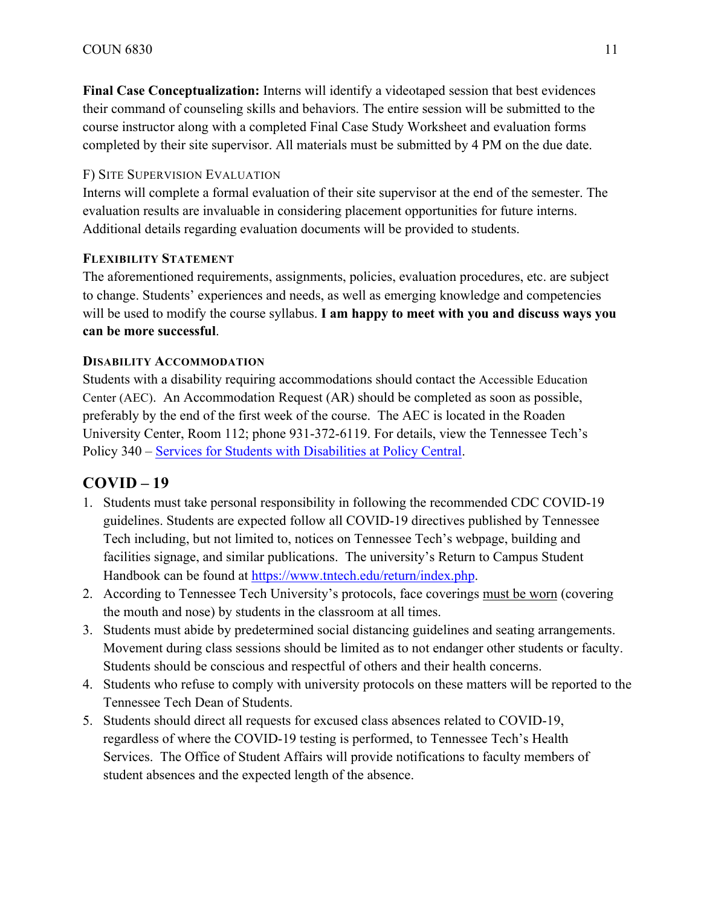**Final Case Conceptualization:** Interns will identify a videotaped session that best evidences their command of counseling skills and behaviors. The entire session will be submitted to the course instructor along with a completed Final Case Study Worksheet and evaluation forms completed by their site supervisor. All materials must be submitted by 4 PM on the due date.

## F) SITE SUPERVISION EVALUATION

Interns will complete a formal evaluation of their site supervisor at the end of the semester. The evaluation results are invaluable in considering placement opportunities for future interns. Additional details regarding evaluation documents will be provided to students.

## **FLEXIBILITY STATEMENT**

The aforementioned requirements, assignments, policies, evaluation procedures, etc. are subject to change. Students' experiences and needs, as well as emerging knowledge and competencies will be used to modify the course syllabus. **I am happy to meet with you and discuss ways you can be more successful**.

#### **DISABILITY ACCOMMODATION**

Students with a disability requiring accommodations should contact the Accessible Education Center (AEC). An Accommodation Request (AR) should be completed as soon as possible, preferably by the end of the first week of the course. The AEC is located in the Roaden University Center, Room 112; phone 931-372-6119. For details, view the Tennessee Tech's Policy 340 – Services for Students with Disabilities at Policy Central.

## **COVID – 19**

- 1. Students must take personal responsibility in following the recommended CDC COVID-19 guidelines. Students are expected follow all COVID-19 directives published by Tennessee Tech including, but not limited to, notices on Tennessee Tech's webpage, building and facilities signage, and similar publications. The university's Return to Campus Student Handbook can be found at https://www.tntech.edu/return/index.php.
- 2. According to Tennessee Tech University's protocols, face coverings must be worn (covering the mouth and nose) by students in the classroom at all times.
- 3. Students must abide by predetermined social distancing guidelines and seating arrangements. Movement during class sessions should be limited as to not endanger other students or faculty. Students should be conscious and respectful of others and their health concerns.
- 4. Students who refuse to comply with university protocols on these matters will be reported to the Tennessee Tech Dean of Students.
- 5. Students should direct all requests for excused class absences related to COVID-19, regardless of where the COVID-19 testing is performed, to Tennessee Tech's Health Services. The Office of Student Affairs will provide notifications to faculty members of student absences and the expected length of the absence.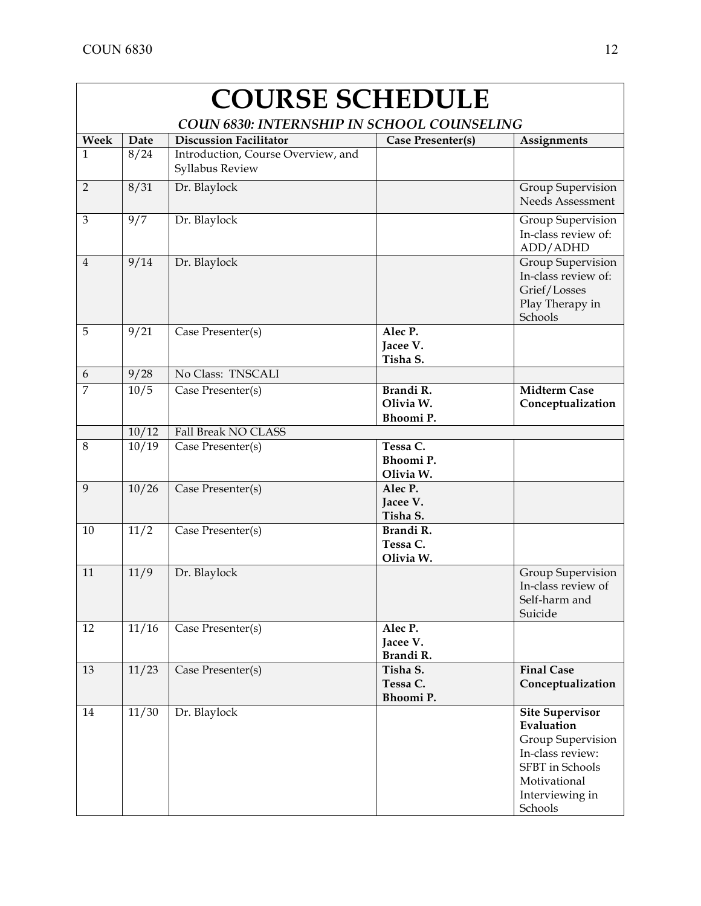| <b>COURSE SCHEDULE</b>                            |                  |                                                       |                                     |                                                                                                                                                       |
|---------------------------------------------------|------------------|-------------------------------------------------------|-------------------------------------|-------------------------------------------------------------------------------------------------------------------------------------------------------|
| <b>COUN 6830: INTERNSHIP IN SCHOOL COUNSELING</b> |                  |                                                       |                                     |                                                                                                                                                       |
| Week                                              | Date             | <b>Discussion Facilitator</b>                         | Case Presenter(s)                   | <b>Assignments</b>                                                                                                                                    |
| 1                                                 | 8/24             | Introduction, Course Overview, and<br>Syllabus Review |                                     |                                                                                                                                                       |
| $\overline{2}$                                    | 8/31             | Dr. Blaylock                                          |                                     | <b>Group Supervision</b><br>Needs Assessment                                                                                                          |
| 3                                                 | $\overline{9/7}$ | Dr. Blaylock                                          |                                     | Group Supervision<br>In-class review of:<br>ADD/ADHD                                                                                                  |
| $\overline{4}$                                    | 9/14             | Dr. Blaylock                                          |                                     | Group Supervision<br>In-class review of:<br>Grief/Losses<br>Play Therapy in<br>Schools                                                                |
| 5                                                 | 9/21             | Case Presenter(s)                                     | Alec P.<br>Jacee V.<br>Tisha S.     |                                                                                                                                                       |
| 6                                                 | 9/28             | No Class: TNSCALI                                     |                                     |                                                                                                                                                       |
| $\overline{7}$                                    | 10/5             | Case Presenter(s)                                     | Brandi R.<br>Olivia W.<br>Bhoomi P. | <b>Midterm Case</b><br>Conceptualization                                                                                                              |
|                                                   | 10/12            | Fall Break NO CLASS                                   |                                     |                                                                                                                                                       |
| 8                                                 | 10/19            | Case Presenter(s)                                     | Tessa C.<br>Bhoomi P.<br>Olivia W.  |                                                                                                                                                       |
| 9                                                 | 10/26            | Case Presenter(s)                                     | Alec P.<br>Jacee V.<br>Tisha S.     |                                                                                                                                                       |
| 10                                                | 11/2             | Case Presenter(s)                                     | Brandi R.<br>Tessa C.<br>Olivia W.  |                                                                                                                                                       |
| 11                                                | 11/9             | Dr. Blaylock                                          |                                     | <b>Group Supervision</b><br>In-class review of<br>Self-harm and<br>Suicide                                                                            |
| 12                                                | 11/16            | Case Presenter(s)                                     | Alec P.<br>Jacee V.<br>Brandi R.    |                                                                                                                                                       |
| 13                                                | 11/23            | Case Presenter(s)                                     | Tisha S.<br>Tessa C.<br>Bhoomi P.   | <b>Final Case</b><br>Conceptualization                                                                                                                |
| 14                                                | 11/30            | Dr. Blaylock                                          |                                     | <b>Site Supervisor</b><br>Evaluation<br>Group Supervision<br>In-class review:<br><b>SFBT</b> in Schools<br>Motivational<br>Interviewing in<br>Schools |